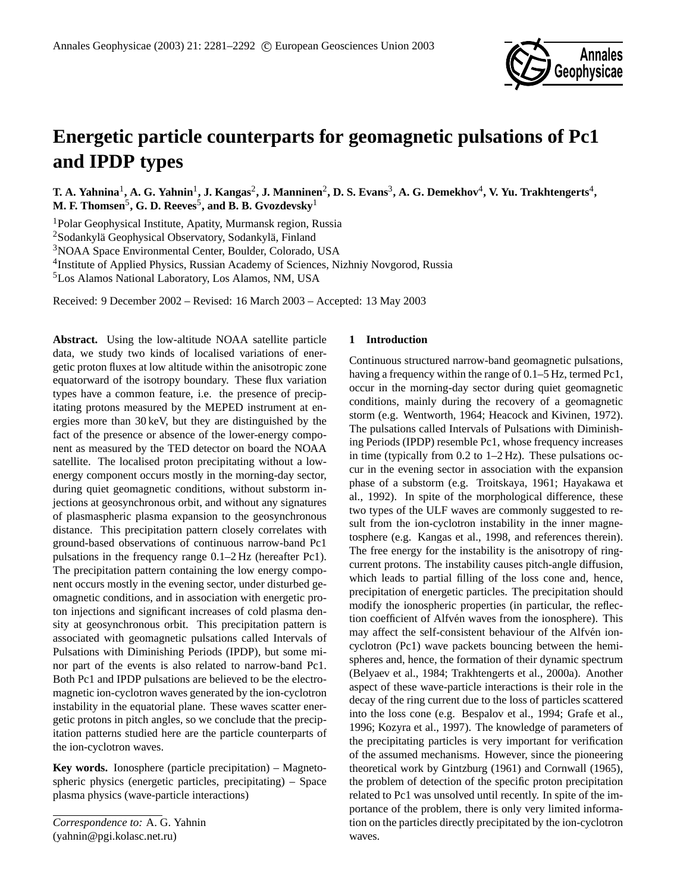

# **Energetic particle counterparts for geomagnetic pulsations of Pc1 and IPDP types**

 $\bf{T.~A.~Yahnina^{1},A.~G.~Yahnin^{1},J.~Kangas^{2},J.~Manninen^{2},D.~S.~Evans^{3},A.~G.~Demekhov^{4},~V.~Yu.~Trakhtengerts^{4},$ **M. F. Thomsen**<sup>5</sup> **, G. D. Reeves**<sup>5</sup> **, and B. B. Gvozdevsky**<sup>1</sup>

<sup>1</sup>Polar Geophysical Institute, Apatity, Murmansk region, Russia

 $2$ Sodankylä Geophysical Observatory, Sodankylä, Finland

<sup>3</sup>NOAA Space Environmental Center, Boulder, Colorado, USA

4 Institute of Applied Physics, Russian Academy of Sciences, Nizhniy Novgorod, Russia

<sup>5</sup>Los Alamos National Laboratory, Los Alamos, NM, USA

Received: 9 December 2002 – Revised: 16 March 2003 – Accepted: 13 May 2003

**Abstract.** Using the low-altitude NOAA satellite particle data, we study two kinds of localised variations of energetic proton fluxes at low altitude within the anisotropic zone equatorward of the isotropy boundary. These flux variation types have a common feature, i.e. the presence of precipitating protons measured by the MEPED instrument at energies more than 30 keV, but they are distinguished by the fact of the presence or absence of the lower-energy component as measured by the TED detector on board the NOAA satellite. The localised proton precipitating without a lowenergy component occurs mostly in the morning-day sector, during quiet geomagnetic conditions, without substorm injections at geosynchronous orbit, and without any signatures of plasmaspheric plasma expansion to the geosynchronous distance. This precipitation pattern closely correlates with ground-based observations of continuous narrow-band Pc1 pulsations in the frequency range 0.1–2 Hz (hereafter Pc1). The precipitation pattern containing the low energy component occurs mostly in the evening sector, under disturbed geomagnetic conditions, and in association with energetic proton injections and significant increases of cold plasma density at geosynchronous orbit. This precipitation pattern is associated with geomagnetic pulsations called Intervals of Pulsations with Diminishing Periods (IPDP), but some minor part of the events is also related to narrow-band Pc1. Both Pc1 and IPDP pulsations are believed to be the electromagnetic ion-cyclotron waves generated by the ion-cyclotron instability in the equatorial plane. These waves scatter energetic protons in pitch angles, so we conclude that the precipitation patterns studied here are the particle counterparts of the ion-cyclotron waves.

**Key words.** Ionosphere (particle precipitation) – Magnetospheric physics (energetic particles, precipitating) – Space plasma physics (wave-particle interactions)

# **1 Introduction**

Continuous structured narrow-band geomagnetic pulsations, having a frequency within the range of  $0.1-5$  Hz, termed Pc1, occur in the morning-day sector during quiet geomagnetic conditions, mainly during the recovery of a geomagnetic storm (e.g. Wentworth, 1964; Heacock and Kivinen, 1972). The pulsations called Intervals of Pulsations with Diminishing Periods (IPDP) resemble Pc1, whose frequency increases in time (typically from  $0.2$  to  $1-2$  Hz). These pulsations occur in the evening sector in association with the expansion phase of a substorm (e.g. Troitskaya, 1961; Hayakawa et al., 1992). In spite of the morphological difference, these two types of the ULF waves are commonly suggested to result from the ion-cyclotron instability in the inner magnetosphere (e.g. Kangas et al., 1998, and references therein). The free energy for the instability is the anisotropy of ringcurrent protons. The instability causes pitch-angle diffusion, which leads to partial filling of the loss cone and, hence, precipitation of energetic particles. The precipitation should modify the ionospheric properties (in particular, the reflection coefficient of Alfvén waves from the ionosphere). This may affect the self-consistent behaviour of the Alfvén ioncyclotron (Pc1) wave packets bouncing between the hemispheres and, hence, the formation of their dynamic spectrum (Belyaev et al., 1984; Trakhtengerts et al., 2000a). Another aspect of these wave-particle interactions is their role in the decay of the ring current due to the loss of particles scattered into the loss cone (e.g. Bespalov et al., 1994; Grafe et al., 1996; Kozyra et al., 1997). The knowledge of parameters of the precipitating particles is very important for verification of the assumed mechanisms. However, since the pioneering theoretical work by Gintzburg (1961) and Cornwall (1965), the problem of detection of the specific proton precipitation related to Pc1 was unsolved until recently. In spite of the importance of the problem, there is only very limited information on the particles directly precipitated by the ion-cyclotron waves.

*Correspondence to:* A. G. Yahnin (yahnin@pgi.kolasc.net.ru)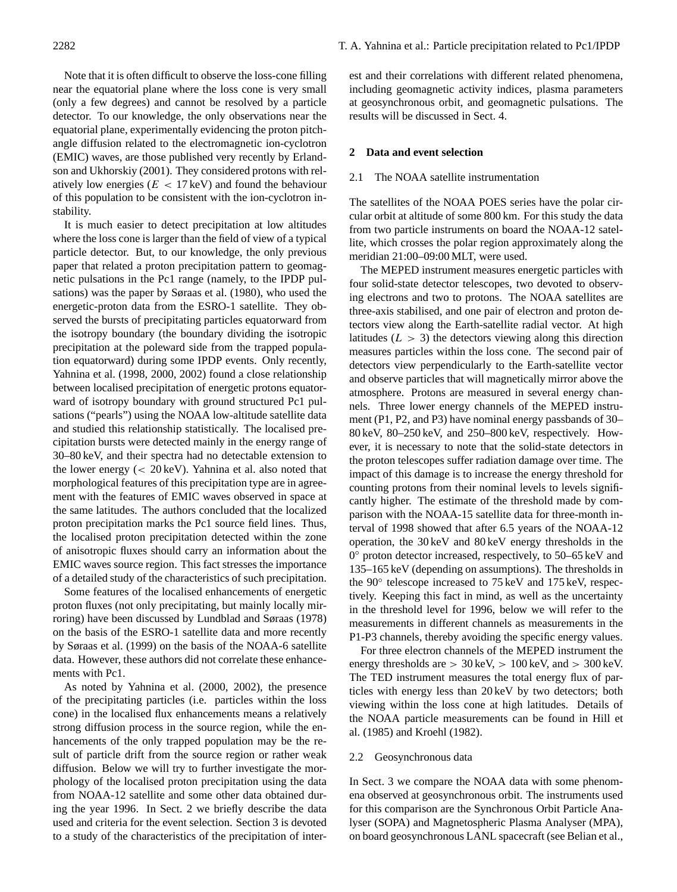Note that it is often difficult to observe the loss-cone filling near the equatorial plane where the loss cone is very small (only a few degrees) and cannot be resolved by a particle detector. To our knowledge, the only observations near the equatorial plane, experimentally evidencing the proton pitchangle diffusion related to the electromagnetic ion-cyclotron (EMIC) waves, are those published very recently by Erlandson and Ukhorskiy (2001). They considered protons with relatively low energies ( $E < 17 \,\text{keV}$ ) and found the behaviour of this population to be consistent with the ion-cyclotron instability.

It is much easier to detect precipitation at low altitudes where the loss cone is larger than the field of view of a typical particle detector. But, to our knowledge, the only previous paper that related a proton precipitation pattern to geomagnetic pulsations in the Pc1 range (namely, to the IPDP pulsations) was the paper by Søraas et al. (1980), who used the energetic-proton data from the ESRO-1 satellite. They observed the bursts of precipitating particles equatorward from the isotropy boundary (the boundary dividing the isotropic precipitation at the poleward side from the trapped population equatorward) during some IPDP events. Only recently, Yahnina et al. (1998, 2000, 2002) found a close relationship between localised precipitation of energetic protons equatorward of isotropy boundary with ground structured Pc1 pulsations ("pearls") using the NOAA low-altitude satellite data and studied this relationship statistically. The localised precipitation bursts were detected mainly in the energy range of 30–80 keV, and their spectra had no detectable extension to the lower energy  $\left($  < 20 keV). Yahnina et al. also noted that morphological features of this precipitation type are in agreement with the features of EMIC waves observed in space at the same latitudes. The authors concluded that the localized proton precipitation marks the Pc1 source field lines. Thus, the localised proton precipitation detected within the zone of anisotropic fluxes should carry an information about the EMIC waves source region. This fact stresses the importance of a detailed study of the characteristics of such precipitation.

Some features of the localised enhancements of energetic proton fluxes (not only precipitating, but mainly locally mirroring) have been discussed by Lundblad and Søraas (1978) on the basis of the ESRO-1 satellite data and more recently by Søraas et al. (1999) on the basis of the NOAA-6 satellite data. However, these authors did not correlate these enhancements with Pc1.

As noted by Yahnina et al. (2000, 2002), the presence of the precipitating particles (i.e. particles within the loss cone) in the localised flux enhancements means a relatively strong diffusion process in the source region, while the enhancements of the only trapped population may be the result of particle drift from the source region or rather weak diffusion. Below we will try to further investigate the morphology of the localised proton precipitation using the data from NOAA-12 satellite and some other data obtained during the year 1996. In Sect. 2 we briefly describe the data used and criteria for the event selection. Section 3 is devoted to a study of the characteristics of the precipitation of interest and their correlations with different related phenomena, including geomagnetic activity indices, plasma parameters at geosynchronous orbit, and geomagnetic pulsations. The results will be discussed in Sect. 4.

## **2 Data and event selection**

#### 2.1 The NOAA satellite instrumentation

The satellites of the NOAA POES series have the polar circular orbit at altitude of some 800 km. For this study the data from two particle instruments on board the NOAA-12 satellite, which crosses the polar region approximately along the meridian 21:00–09:00 MLT, were used.

The MEPED instrument measures energetic particles with four solid-state detector telescopes, two devoted to observing electrons and two to protons. The NOAA satellites are three-axis stabilised, and one pair of electron and proton detectors view along the Earth-satellite radial vector. At high latitudes  $(L > 3)$  the detectors viewing along this direction measures particles within the loss cone. The second pair of detectors view perpendicularly to the Earth-satellite vector and observe particles that will magnetically mirror above the atmosphere. Protons are measured in several energy channels. Three lower energy channels of the MEPED instrument (P1, P2, and P3) have nominal energy passbands of 30– 80 keV, 80–250 keV, and 250–800 keV, respectively. However, it is necessary to note that the solid-state detectors in the proton telescopes suffer radiation damage over time. The impact of this damage is to increase the energy threshold for counting protons from their nominal levels to levels significantly higher. The estimate of the threshold made by comparison with the NOAA-15 satellite data for three-month interval of 1998 showed that after 6.5 years of the NOAA-12 operation, the 30 keV and 80 keV energy thresholds in the 0<sup>°</sup> proton detector increased, respectively, to 50–65 keV and 135–165 keV (depending on assumptions). The thresholds in the 90° telescope increased to 75 keV and 175 keV, respectively. Keeping this fact in mind, as well as the uncertainty in the threshold level for 1996, below we will refer to the measurements in different channels as measurements in the P1-P3 channels, thereby avoiding the specific energy values.

For three electron channels of the MEPED instrument the energy thresholds are  $> 30 \,\text{keV}$ ,  $> 100 \,\text{keV}$ , and  $> 300 \,\text{keV}$ . The TED instrument measures the total energy flux of particles with energy less than 20 keV by two detectors; both viewing within the loss cone at high latitudes. Details of the NOAA particle measurements can be found in Hill et al. (1985) and Kroehl (1982).

#### 2.2 Geosynchronous data

In Sect. 3 we compare the NOAA data with some phenomena observed at geosynchronous orbit. The instruments used for this comparison are the Synchronous Orbit Particle Analyser (SOPA) and Magnetospheric Plasma Analyser (MPA), on board geosynchronous LANL spacecraft (see Belian et al.,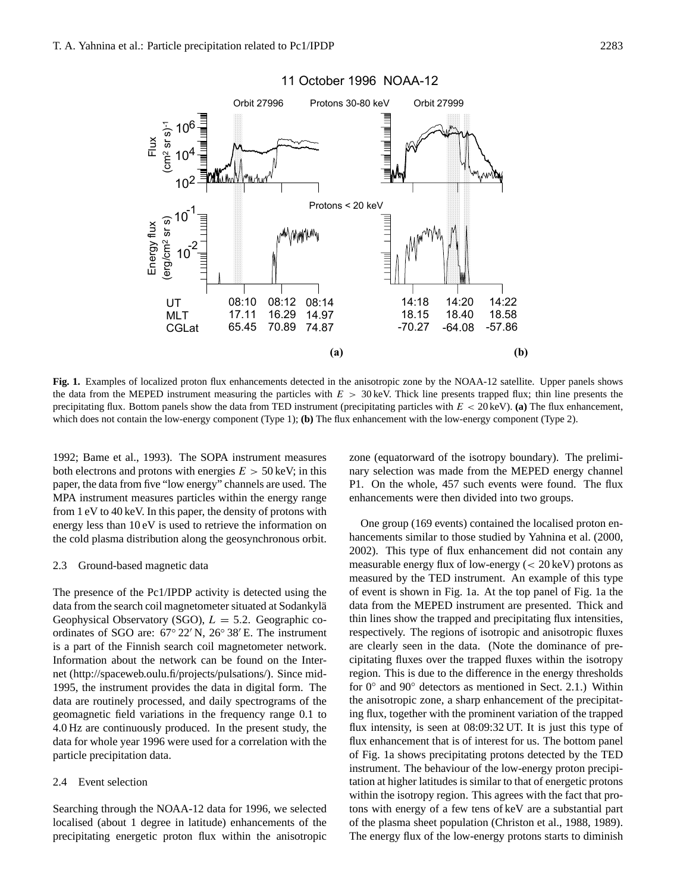10

10

 $10^{2}$ 

08:10 17.11 65.45

**UT** MLT CGLat

2

-1

4

6

10

Flux  $(m<sup>2</sup> sr s)$ <sup>-1</sup>

 $cm<sup>2</sup>$  Sr s)<sup>-1</sup>

Energy flux (erg/cm2 sr s)

Energy flux

erg/cm<sup>2</sup> sr s)

10



# 11 October 1996 NOAA-12

Fig. 1. Examples of localized proton flux enhancements detected in the anisotropic zone by the NOAA-12 satellite. Upper panels shows the data from the MEPED instrument measuring the particles with  $E > 30 \,\text{keV}$ . Thick line presents trapped flux; thin line presents the precipitating flux. Bottom panels show the data from TED instrument (precipitating particles with  $E < 20 \,\text{keV}$ ). (a) The flux enhancement, which does not contain the low-energy component (Type 1); **(b)** The flux enhancement with the low-energy component (Type 2).

08:14 14.97 74.87

08:12 16.29 70.89

1992; Bame et al., 1993). The SOPA instrument measures both electrons and protons with energies  $E > 50$  keV; in this paper, the data from five "low energy" channels are used. The MPA instrument measures particles within the energy range from 1 eV to 40 keV. In this paper, the density of protons with energy less than 10 eV is used to retrieve the information on the cold plasma distribution along the geosynchronous orbit.

#### 2.3 Ground-based magnetic data

The presence of the Pc1/IPDP activity is detected using the data from the search coil magnetometer situated at Sodankylä Geophysical Observatory (SGO),  $L = 5.2$ . Geographic coordinates of SGO are:  $67° 22'$  N,  $26° 38'$  E. The instrument is a part of the Finnish search coil magnetometer network. Information about the network can be found on the Internet (http://spaceweb.oulu.fi/projects/pulsations/). Since mid-1995, the instrument provides the data in digital form. The data are routinely processed, and daily spectrograms of the geomagnetic field variations in the frequency range 0.1 to 4.0 Hz are continuously produced. In the present study, the data for whole year 1996 were used for a correlation with the particle precipitation data.

#### 2.4 Event selection

Searching through the NOAA-12 data for 1996, we selected localised (about 1 degree in latitude) enhancements of the precipitating energetic proton flux within the anisotropic zone (equatorward of the isotropy boundary). The preliminary selection was made from the MEPED energy channel P1. On the whole, 457 such events were found. The flux enhancements were then divided into two groups.

**(a) (b)** 

 14:20 18.40 -64.08

 14:22 18.58 -57.86

 14:18 18.15 -70.27

One group (169 events) contained the localised proton enhancements similar to those studied by Yahnina et al. (2000, 2002). This type of flux enhancement did not contain any measurable energy flux of low-energy (< 20 keV) protons as measured by the TED instrument. An example of this type of event is shown in Fig. 1a. At the top panel of Fig. 1a the data from the MEPED instrument are presented. Thick and thin lines show the trapped and precipitating flux intensities, respectively. The regions of isotropic and anisotropic fluxes are clearly seen in the data. (Note the dominance of precipitating fluxes over the trapped fluxes within the isotropy region. This is due to the difference in the energy thresholds for 0<sup>°</sup> and 90<sup>°</sup> detectors as mentioned in Sect. 2.1.) Within the anisotropic zone, a sharp enhancement of the precipitating flux, together with the prominent variation of the trapped flux intensity, is seen at 08:09:32 UT. It is just this type of flux enhancement that is of interest for us. The bottom panel of Fig. 1a shows precipitating protons detected by the TED instrument. The behaviour of the low-energy proton precipitation at higher latitudes is similar to that of energetic protons within the isotropy region. This agrees with the fact that protons with energy of a few tens of keV are a substantial part of the plasma sheet population (Christon et al., 1988, 1989). The energy flux of the low-energy protons starts to diminish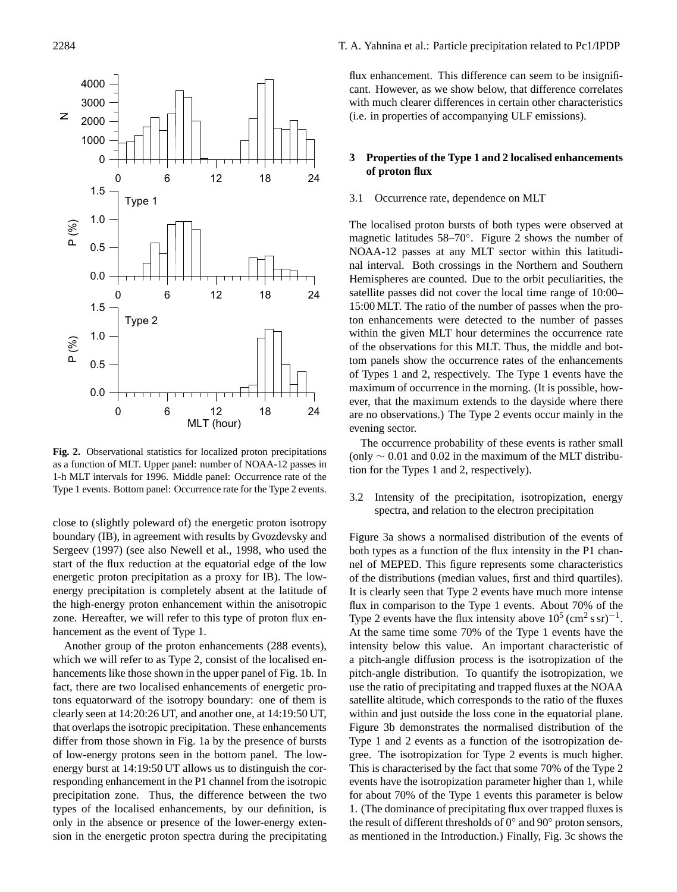

as a function of MLT. Upper panel: number of NOAA-12 passes in **Fig. 2.** Observational statistics for localized proton precipitations 1-h MLT intervals for 1996. Middle panel: Occurrence rate of the Type 1 events. Bottom panel: Occurrence rate for the Type 2 events.

close to (slightly poleward of) the energetic proton isotropy boundary (IB), in agreement with results by Gvozdevsky and Sergeev (1997) (see also Newell et al., 1998, who used the start of the flux reduction at the equatorial edge of the low energetic proton precipitation as a proxy for IB). The lowenergy precipitation is completely absent at the latitude of the high-energy proton enhancement within the anisotropic zone. Hereafter, we will refer to this type of proton flux enhancement as the event of Type 1.

Another group of the proton enhancements (288 events), which we will refer to as Type 2, consist of the localised enhancements like those shown in the upper panel of Fig. 1b. In fact, there are two localised enhancements of energetic protons equatorward of the isotropy boundary: one of them is clearly seen at 14:20:26 UT, and another one, at 14:19:50 UT, that overlaps the isotropic precipitation. These enhancements differ from those shown in Fig. 1a by the presence of bursts of low-energy protons seen in the bottom panel. The lowenergy burst at 14:19:50 UT allows us to distinguish the corresponding enhancement in the P1 channel from the isotropic precipitation zone. Thus, the difference between the two types of the localised enhancements, by our definition, is only in the absence or presence of the lower-energy extension in the energetic proton spectra during the precipitating flux enhancement. This difference can seem to be insignificant. However, as we show below, that difference correlates with much clearer differences in certain other characteristics (i.e. in properties of accompanying ULF emissions).

## **3 Properties of the Type 1 and 2 localised enhancements of proton flux**

## 3.1 Occurrence rate, dependence on MLT

The localised proton bursts of both types were observed at magnetic latitudes 58–70◦ . Figure 2 shows the number of NOAA-12 passes at any MLT sector within this latitudinal interval. Both crossings in the Northern and Southern Hemispheres are counted. Due to the orbit peculiarities, the satellite passes did not cover the local time range of 10:00– 15:00 MLT. The ratio of the number of passes when the proton enhancements were detected to the number of passes within the given MLT hour determines the occurrence rate of the observations for this MLT. Thus, the middle and bottom panels show the occurrence rates of the enhancements of Types 1 and 2, respectively. The Type 1 events have the maximum of occurrence in the morning. (It is possible, however, that the maximum extends to the dayside where there are no observations.) The Type 2 events occur mainly in the evening sector.

The occurrence probability of these events is rather small (only  $\sim$  0.01 and 0.02 in the maximum of the MLT distribution for the Types 1 and 2, respectively).

3.2 Intensity of the precipitation, isotropization, energy spectra, and relation to the electron precipitation

Figure 3a shows a normalised distribution of the events of both types as a function of the flux intensity in the P1 channel of MEPED. This figure represents some characteristics of the distributions (median values, first and third quartiles). It is clearly seen that Type 2 events have much more intense flux in comparison to the Type 1 events. About 70% of the Type 2 events have the flux intensity above  $10^5$  (cm<sup>2</sup> s sr)<sup>-1</sup>. At the same time some 70% of the Type 1 events have the intensity below this value. An important characteristic of a pitch-angle diffusion process is the isotropization of the pitch-angle distribution. To quantify the isotropization, we use the ratio of precipitating and trapped fluxes at the NOAA satellite altitude, which corresponds to the ratio of the fluxes within and just outside the loss cone in the equatorial plane. Figure 3b demonstrates the normalised distribution of the Type 1 and 2 events as a function of the isotropization degree. The isotropization for Type 2 events is much higher. This is characterised by the fact that some 70% of the Type 2 events have the isotropization parameter higher than 1, while for about 70% of the Type 1 events this parameter is below 1. (The dominance of precipitating flux over trapped fluxes is the result of different thresholds of 0◦ and 90◦ proton sensors, as mentioned in the Introduction.) Finally, Fig. 3c shows the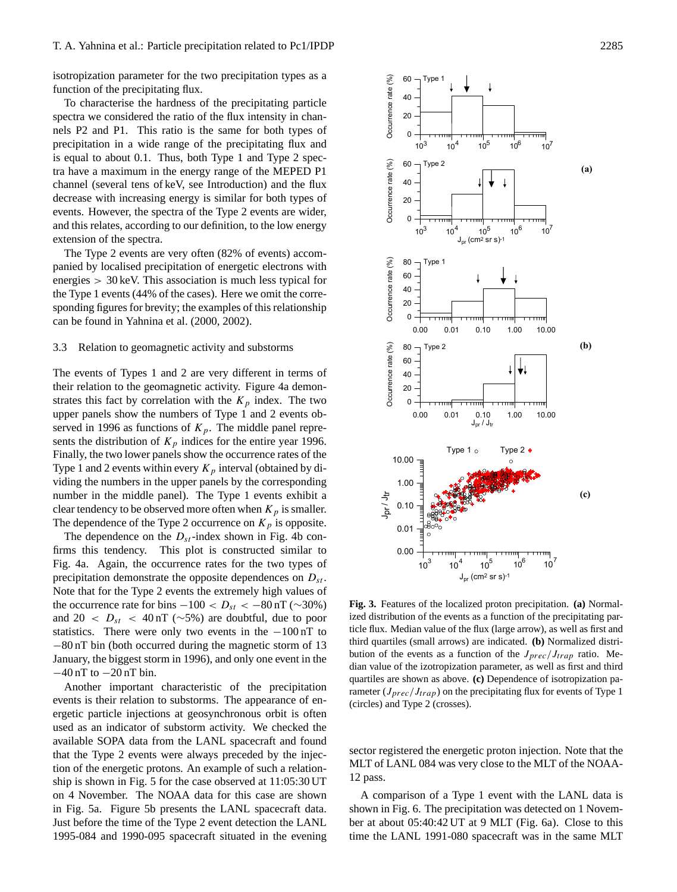isotropization parameter for the two precipitation types as a function of the precipitating flux.

To characterise the hardness of the precipitating particle spectra we considered the ratio of the flux intensity in channels P2 and P1. This ratio is the same for both types of precipitation in a wide range of the precipitating flux and is equal to about 0.1. Thus, both Type 1 and Type 2 spectra have a maximum in the energy range of the MEPED P1 channel (several tens of keV, see Introduction) and the flux decrease with increasing energy is similar for both types of events. However, the spectra of the Type 2 events are wider, and this relates, according to our definition, to the low energy extension of the spectra.

The Type 2 events are very often (82% of events) accompanied by localised precipitation of energetic electrons with energies > 30 keV. This association is much less typical for the Type 1 events (44% of the cases). Here we omit the corresponding figures for brevity; the examples of this relationship can be found in Yahnina et al. (2000, 2002).

#### 3.3 Relation to geomagnetic activity and substorms

The events of Types 1 and 2 are very different in terms of their relation to the geomagnetic activity. Figure 4a demonstrates this fact by correlation with the  $K_p$  index. The two upper panels show the numbers of Type 1 and 2 events observed in 1996 as functions of  $K_p$ . The middle panel represents the distribution of  $K_p$  indices for the entire year 1996. Finally, the two lower panels show the occurrence rates of the Type 1 and 2 events within every  $K_p$  interval (obtained by dividing the numbers in the upper panels by the corresponding number in the middle panel). The Type 1 events exhibit a clear tendency to be observed more often when  $K_p$  is smaller. The dependence of the Type 2 occurrence on  $K_p$  is opposite.

The dependence on the  $D_{st}$ -index shown in Fig. 4b confirms this tendency. This plot is constructed similar to Fig. 4a. Again, the occurrence rates for the two types of precipitation demonstrate the opposite dependences on  $D_{st}$ . Note that for the Type 2 events the extremely high values of the occurrence rate for bins  $-100 < D_{st} < -80$  nT (~30%) and 20 <  $D_{st}$  < 40 nT (~5%) are doubtful, due to poor statistics. There were only two events in the  $-100 \text{ nT}$  to −80 nT bin (both occurred during the magnetic storm of 13 January, the biggest storm in 1996), and only one event in the −40 nT to −20 nT bin.

Another important characteristic of the precipitation events is their relation to substorms. The appearance of energetic particle injections at geosynchronous orbit is often used as an indicator of substorm activity. We checked the available SOPA data from the LANL spacecraft and found that the Type 2 events were always preceded by the injection of the energetic protons. An example of such a relationship is shown in Fig. 5 for the case observed at 11:05:30 UT on 4 November. The NOAA data for this case are shown in Fig. 5a. Figure 5b presents the LANL spacecraft data. Just before the time of the Type 2 event detection the LANL 1995-084 and 1990-095 spacecraft situated in the evening



Fig. 3. Features of the localized proton precipitation. (a) Normalized distribution of the events as a function of the precipitating particle flux. Median value of the flux (large arrow), as well as first and third quartiles (small arrows) are indicated. **(b)** Normalized distribution of the events as a function of the  $J_{prec}/J_{tran}$  ratio. Median value of the izotropization parameter, as well as first and third quartiles are shown as above. **(c)** Dependence of isotropization parameter ( $J_{prec}/J_{trap}$ ) on the precipitating flux for events of Type 1 (circles) and Type 2 (crosses).

sector registered the energetic proton injection. Note that the MLT of LANL 084 was very close to the MLT of the NOAA-12 pass.

A comparison of a Type 1 event with the LANL data is shown in Fig. 6. The precipitation was detected on 1 November at about 05:40:42 UT at 9 MLT (Fig. 6a). Close to this time the LANL 1991-080 spacecraft was in the same MLT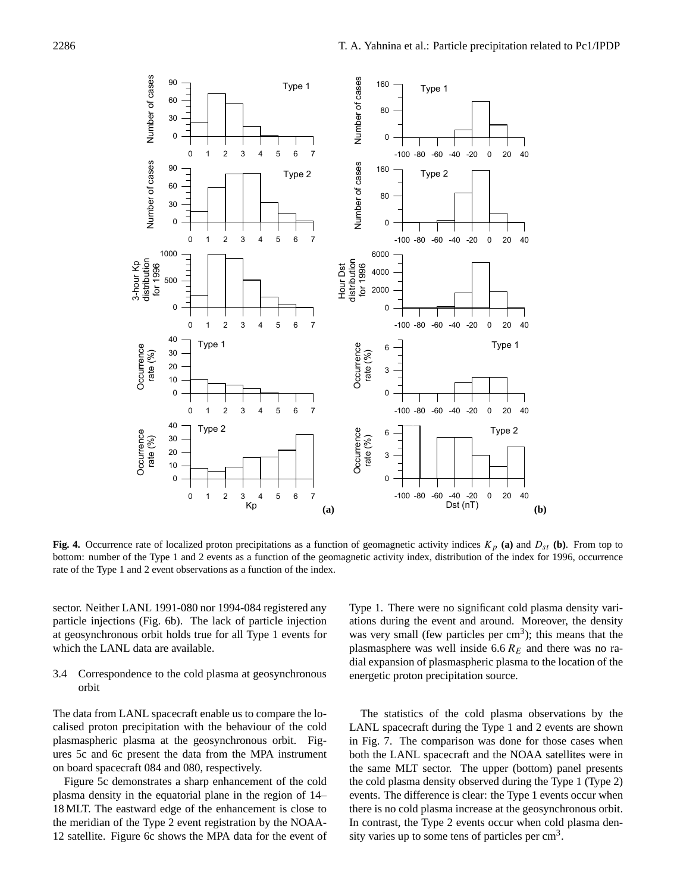

bottom: number of the Type 1 and 2 events as a function of the geomagnetic activity index, distribution of the index for 1996, occurrence **Fig. 4.** Occurrence rate of localized proton precipitations as a function of geomagnetic activity indices  $K_p$  (a) and  $D_{st}$  (b). From top to rate of the Type 1 and 2 event observations as a function of the index.

sector. Neither LANL 1991-080 nor 1994-084 registered any particle injections (Fig. 6b). The lack of particle injection at geosynchronous orbit holds true for all Type 1 events for which the LANL data are available.

3.4 Correspondence to the cold plasma at geosynchronous orbit

The data from LANL spacecraft enable us to compare the localised proton precipitation with the behaviour of the cold plasmaspheric plasma at the geosynchronous orbit. Figures 5c and 6c present the data from the MPA instrument on board spacecraft 084 and 080, respectively.

Figure 5c demonstrates a sharp enhancement of the cold plasma density in the equatorial plane in the region of 14– 18 MLT. The eastward edge of the enhancement is close to the meridian of the Type 2 event registration by the NOAA-12 satellite. Figure 6c shows the MPA data for the event of Type 1. There were no significant cold plasma density variations during the event and around. Moreover, the density was very small (few particles per  $\text{cm}^3$ ); this means that the plasmasphere was well inside  $6.6 R<sub>E</sub>$  and there was no radial expansion of plasmaspheric plasma to the location of the energetic proton precipitation source.

The statistics of the cold plasma observations by the LANL spacecraft during the Type 1 and 2 events are shown in Fig. 7. The comparison was done for those cases when both the LANL spacecraft and the NOAA satellites were in the same MLT sector. The upper (bottom) panel presents the cold plasma density observed during the Type 1 (Type 2) events. The difference is clear: the Type 1 events occur when there is no cold plasma increase at the geosynchronous orbit. In contrast, the Type 2 events occur when cold plasma density varies up to some tens of particles per  $\text{cm}^3$ .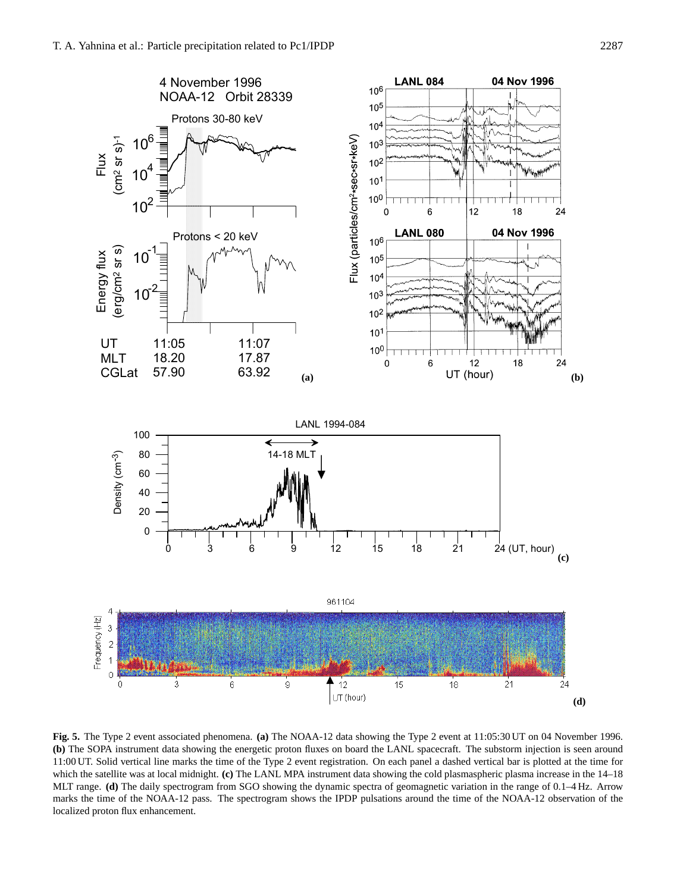

Figure 5d MLT range. **(d)** The daily spectrogram from SGO showing the dynamic spectra of geomagnetic variation in the range of 0.1–4 Hz. Arrow **Fig. 5.** The Type 2 event associated phenomena. **(a)** The NOAA-12 data showing the Type 2 event at 11:05:30 UT on 04 November 1996. **(b)** The SOPA instrument data showing the energetic proton fluxes on board the LANL spacecraft. The substorm injection is seen around 11:00 UT. Solid vertical line marks the time of the Type 2 event registration. On each panel a dashed vertical bar is plotted at the time for which the satellite was at local midnight. **(c)** The LANL MPA instrument data showing the cold plasmaspheric plasma increase in the 14–18 marks the time of the NOAA-12 pass. The spectrogram shows the IPDP pulsations around the time of the NOAA-12 observation of the localized proton flux enhancement.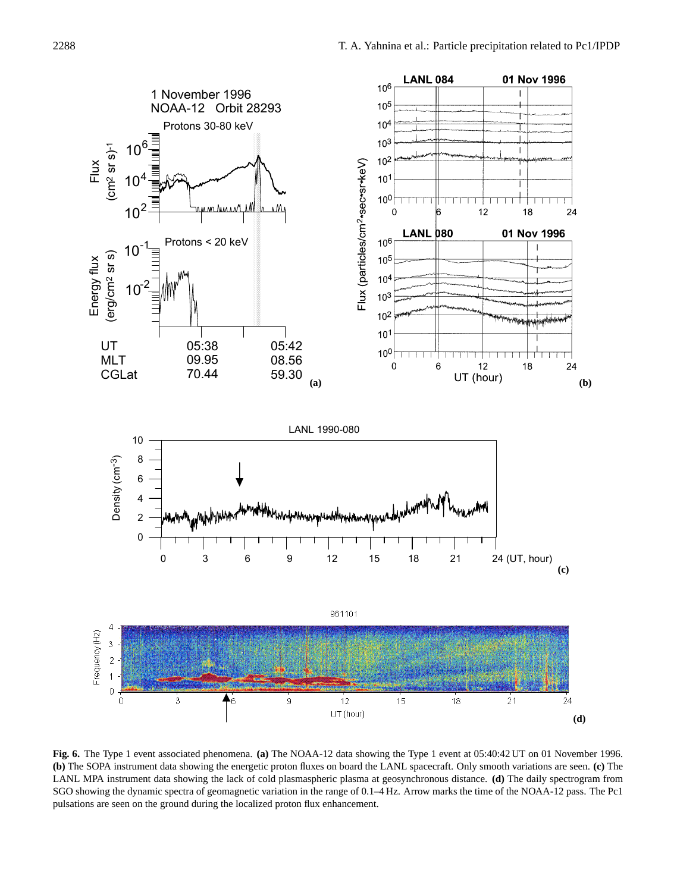

SGO showing the dynamic spectra of geomagnetic variation in the range of 0.1–4 Hz. Arrow marks the time of the NOAA-12 pass. The Pc1 **Fig. 6.** The Type 1 event associated phenomena. **(a)** The NOAA-12 data showing the Type 1 event at 05:40:42 UT on 01 November 1996. **(b)** The SOPA instrument data showing the energetic proton fluxes on board the LANL spacecraft. Only smooth variations are seen. **(c)** The LANL MPA instrument data showing the lack of cold plasmaspheric plasma at geosynchronous distance. **(d)** The daily spectrogram from pulsations are seen on the ground during the localized proton flux enhancement.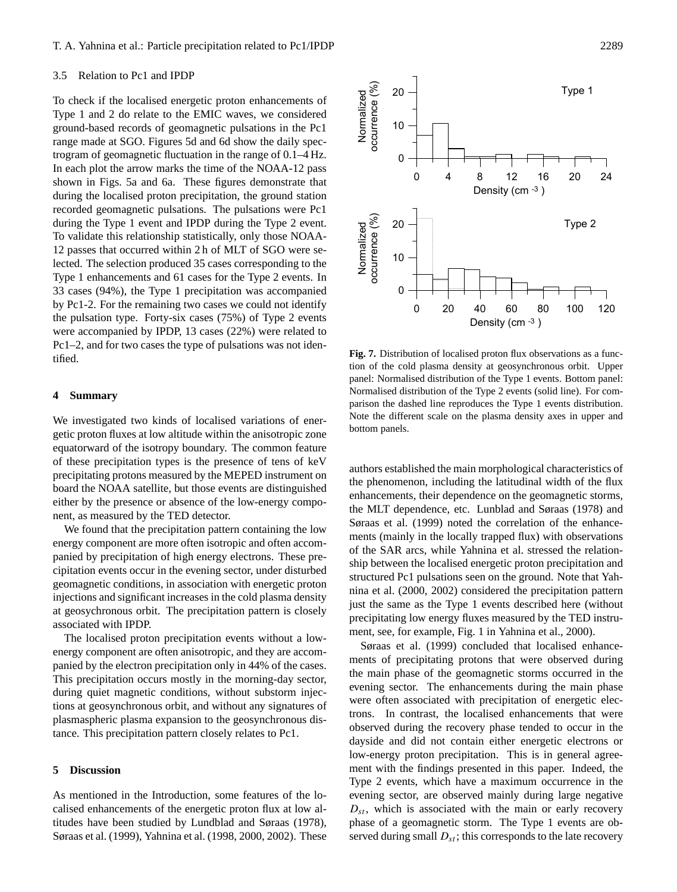## 3.5 Relation to Pc1 and IPDP

To check if the localised energetic proton enhancements of Type 1 and 2 do relate to the EMIC waves, we considered ground-based records of geomagnetic pulsations in the Pc1 range made at SGO. Figures 5d and 6d show the daily spectrogram of geomagnetic fluctuation in the range of 0.1–4 Hz. In each plot the arrow marks the time of the NOAA-12 pass shown in Figs. 5a and 6a. These figures demonstrate that during the localised proton precipitation, the ground station recorded geomagnetic pulsations. The pulsations were Pc1 during the Type 1 event and IPDP during the Type 2 event. To validate this relationship statistically, only those NOAA-12 passes that occurred within 2 h of MLT of SGO were selected. The selection produced 35 cases corresponding to the Type 1 enhancements and 61 cases for the Type 2 events. In 33 cases (94%), the Type 1 precipitation was accompanied by Pc1-2. For the remaining two cases we could not identify the pulsation type. Forty-six cases (75%) of Type 2 events were accompanied by IPDP, 13 cases (22%) were related to Pc1–2, and for two cases the type of pulsations was not identified.

#### **4 Summary**

We investigated two kinds of localised variations of energetic proton fluxes at low altitude within the anisotropic zone equatorward of the isotropy boundary. The common feature of these precipitation types is the presence of tens of keV precipitating protons measured by the MEPED instrument on board the NOAA satellite, but those events are distinguished either by the presence or absence of the low-energy component, as measured by the TED detector.

We found that the precipitation pattern containing the low energy component are more often isotropic and often accompanied by precipitation of high energy electrons. These precipitation events occur in the evening sector, under disturbed geomagnetic conditions, in association with energetic proton injections and significant increases in the cold plasma density at geosychronous orbit. The precipitation pattern is closely associated with IPDP.

The localised proton precipitation events without a lowenergy component are often anisotropic, and they are accompanied by the electron precipitation only in 44% of the cases. This precipitation occurs mostly in the morning-day sector, during quiet magnetic conditions, without substorm injections at geosynchronous orbit, and without any signatures of plasmaspheric plasma expansion to the geosynchronous distance. This precipitation pattern closely relates to Pc1.

### **5 Discussion**

As mentioned in the Introduction, some features of the localised enhancements of the energetic proton flux at low altitudes have been studied by Lundblad and Søraas (1978), Søraas et al. (1999), Yahnina et al. (1998, 2000, 2002). These



0 4 8 12 16 20 24 Density (cm -3 )

10

20

0

10

Normalized occurrence (%)

occurrence (%) Normalized

20

authors established the main morphological characteristics of the phenomenon, including the latitudinal width of the flux enhancements, their dependence on the geomagnetic storms, the MLT dependence, etc. Lunblad and Søraas (1978) and Søraas et al. (1999) noted the correlation of the enhancements (mainly in the locally trapped flux) with observations of the SAR arcs, while Yahnina et al. stressed the relationship between the localised energetic proton precipitation and structured Pc1 pulsations seen on the ground. Note that Yahnina et al. (2000, 2002) considered the precipitation pattern just the same as the Type 1 events described here (without precipitating low energy fluxes measured by the TED instrument, see, for example, Fig. 1 in Yahnina et al., 2000).

Søraas et al. (1999) concluded that localised enhancements of precipitating protons that were observed during the main phase of the geomagnetic storms occurred in the evening sector. The enhancements during the main phase were often associated with precipitation of energetic electrons. In contrast, the localised enhancements that were observed during the recovery phase tended to occur in the dayside and did not contain either energetic electrons or low-energy proton precipitation. This is in general agreement with the findings presented in this paper. Indeed, the Type 2 events, which have a maximum occurrence in the evening sector, are observed mainly during large negative  $D_{st}$ , which is associated with the main or early recovery phase of a geomagnetic storm. The Type 1 events are observed during small  $D_{st}$ ; this corresponds to the late recovery

Type 2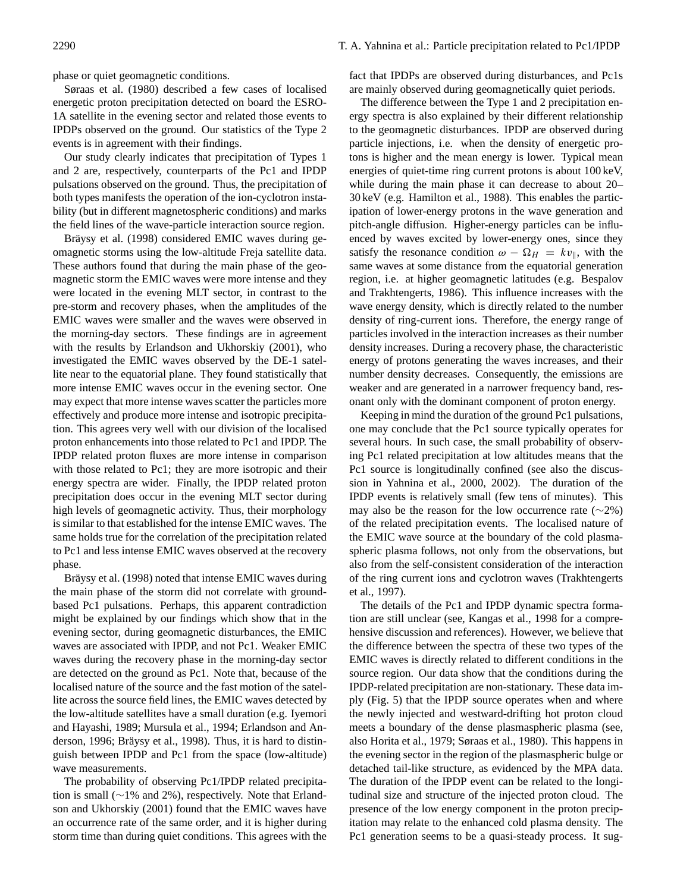phase or quiet geomagnetic conditions.

Søraas et al. (1980) described a few cases of localised energetic proton precipitation detected on board the ESRO-1A satellite in the evening sector and related those events to IPDPs observed on the ground. Our statistics of the Type 2 events is in agreement with their findings.

Our study clearly indicates that precipitation of Types 1 and 2 are, respectively, counterparts of the Pc1 and IPDP pulsations observed on the ground. Thus, the precipitation of both types manifests the operation of the ion-cyclotron instability (but in different magnetospheric conditions) and marks the field lines of the wave-particle interaction source region.

Bräysy et al. (1998) considered EMIC waves during geomagnetic storms using the low-altitude Freja satellite data. These authors found that during the main phase of the geomagnetic storm the EMIC waves were more intense and they were located in the evening MLT sector, in contrast to the pre-storm and recovery phases, when the amplitudes of the EMIC waves were smaller and the waves were observed in the morning-day sectors. These findings are in agreement with the results by Erlandson and Ukhorskiy (2001), who investigated the EMIC waves observed by the DE-1 satellite near to the equatorial plane. They found statistically that more intense EMIC waves occur in the evening sector. One may expect that more intense waves scatter the particles more effectively and produce more intense and isotropic precipitation. This agrees very well with our division of the localised proton enhancements into those related to Pc1 and IPDP. The IPDP related proton fluxes are more intense in comparison with those related to Pc1; they are more isotropic and their energy spectra are wider. Finally, the IPDP related proton precipitation does occur in the evening MLT sector during high levels of geomagnetic activity. Thus, their morphology is similar to that established for the intense EMIC waves. The same holds true for the correlation of the precipitation related to Pc1 and less intense EMIC waves observed at the recovery phase.

Bräysy et al. (1998) noted that intense EMIC waves during the main phase of the storm did not correlate with groundbased Pc1 pulsations. Perhaps, this apparent contradiction might be explained by our findings which show that in the evening sector, during geomagnetic disturbances, the EMIC waves are associated with IPDP, and not Pc1. Weaker EMIC waves during the recovery phase in the morning-day sector are detected on the ground as Pc1. Note that, because of the localised nature of the source and the fast motion of the satellite across the source field lines, the EMIC waves detected by the low-altitude satellites have a small duration (e.g. Iyemori and Hayashi, 1989; Mursula et al., 1994; Erlandson and Anderson, 1996; Bräysy et al., 1998). Thus, it is hard to distinguish between IPDP and Pc1 from the space (low-altitude) wave measurements.

The probability of observing Pc1/IPDP related precipitation is small (∼1% and 2%), respectively. Note that Erlandson and Ukhorskiy (2001) found that the EMIC waves have an occurrence rate of the same order, and it is higher during storm time than during quiet conditions. This agrees with the

fact that IPDPs are observed during disturbances, and Pc1s are mainly observed during geomagnetically quiet periods.

The difference between the Type 1 and 2 precipitation energy spectra is also explained by their different relationship to the geomagnetic disturbances. IPDP are observed during particle injections, i.e. when the density of energetic protons is higher and the mean energy is lower. Typical mean energies of quiet-time ring current protons is about 100 keV, while during the main phase it can decrease to about 20– 30 keV (e.g. Hamilton et al., 1988). This enables the participation of lower-energy protons in the wave generation and pitch-angle diffusion. Higher-energy particles can be influenced by waves excited by lower-energy ones, since they satisfy the resonance condition  $\omega - \Omega_H = kv_{\parallel}$ , with the same waves at some distance from the equatorial generation region, i.e. at higher geomagnetic latitudes (e.g. Bespalov and Trakhtengerts, 1986). This influence increases with the wave energy density, which is directly related to the number density of ring-current ions. Therefore, the energy range of particles involved in the interaction increases as their number density increases. During a recovery phase, the characteristic energy of protons generating the waves increases, and their number density decreases. Consequently, the emissions are weaker and are generated in a narrower frequency band, resonant only with the dominant component of proton energy.

Keeping in mind the duration of the ground Pc1 pulsations, one may conclude that the Pc1 source typically operates for several hours. In such case, the small probability of observing Pc1 related precipitation at low altitudes means that the Pc1 source is longitudinally confined (see also the discussion in Yahnina et al., 2000, 2002). The duration of the IPDP events is relatively small (few tens of minutes). This may also be the reason for the low occurrence rate  $(\sim 2\%)$ of the related precipitation events. The localised nature of the EMIC wave source at the boundary of the cold plasmaspheric plasma follows, not only from the observations, but also from the self-consistent consideration of the interaction of the ring current ions and cyclotron waves (Trakhtengerts et al., 1997).

The details of the Pc1 and IPDP dynamic spectra formation are still unclear (see, Kangas et al., 1998 for a comprehensive discussion and references). However, we believe that the difference between the spectra of these two types of the EMIC waves is directly related to different conditions in the source region. Our data show that the conditions during the IPDP-related precipitation are non-stationary. These data imply (Fig. 5) that the IPDP source operates when and where the newly injected and westward-drifting hot proton cloud meets a boundary of the dense plasmaspheric plasma (see, also Horita et al., 1979; Søraas et al., 1980). This happens in the evening sector in the region of the plasmaspheric bulge or detached tail-like structure, as evidenced by the MPA data. The duration of the IPDP event can be related to the longitudinal size and structure of the injected proton cloud. The presence of the low energy component in the proton precipitation may relate to the enhanced cold plasma density. The Pc1 generation seems to be a quasi-steady process. It sug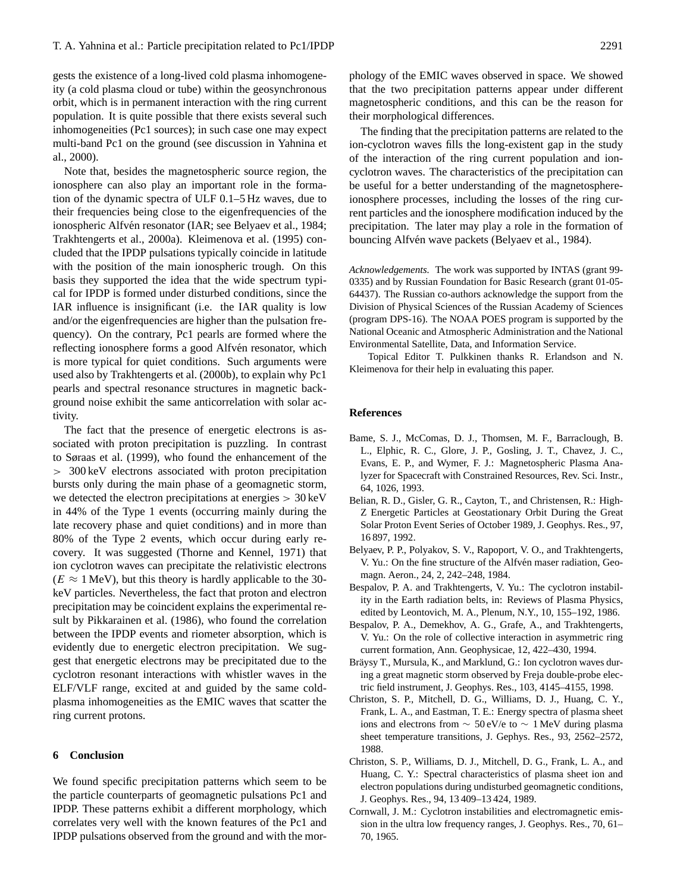gests the existence of a long-lived cold plasma inhomogeneity (a cold plasma cloud or tube) within the geosynchronous orbit, which is in permanent interaction with the ring current population. It is quite possible that there exists several such inhomogeneities (Pc1 sources); in such case one may expect multi-band Pc1 on the ground (see discussion in Yahnina et al., 2000).

Note that, besides the magnetospheric source region, the ionosphere can also play an important role in the formation of the dynamic spectra of ULF 0.1–5 Hz waves, due to their frequencies being close to the eigenfrequencies of the ionospheric Alfvén resonator (IAR; see Belyaev et al., 1984; Trakhtengerts et al., 2000a). Kleimenova et al. (1995) concluded that the IPDP pulsations typically coincide in latitude with the position of the main ionospheric trough. On this basis they supported the idea that the wide spectrum typical for IPDP is formed under disturbed conditions, since the IAR influence is insignificant (i.e. the IAR quality is low and/or the eigenfrequencies are higher than the pulsation frequency). On the contrary, Pc1 pearls are formed where the reflecting ionosphere forms a good Alfvén resonator, which is more typical for quiet conditions. Such arguments were used also by Trakhtengerts et al. (2000b), to explain why Pc1 pearls and spectral resonance structures in magnetic background noise exhibit the same anticorrelation with solar activity.

The fact that the presence of energetic electrons is associated with proton precipitation is puzzling. In contrast to Søraas et al. (1999), who found the enhancement of the > 300 keV electrons associated with proton precipitation bursts only during the main phase of a geomagnetic storm, we detected the electron precipitations at energies > 30 keV in 44% of the Type 1 events (occurring mainly during the late recovery phase and quiet conditions) and in more than 80% of the Type 2 events, which occur during early recovery. It was suggested (Thorne and Kennel, 1971) that ion cyclotron waves can precipitate the relativistic electrons  $(E \approx 1 \text{ MeV})$ , but this theory is hardly applicable to the 30keV particles. Nevertheless, the fact that proton and electron precipitation may be coincident explains the experimental result by Pikkarainen et al. (1986), who found the correlation between the IPDP events and riometer absorption, which is evidently due to energetic electron precipitation. We suggest that energetic electrons may be precipitated due to the cyclotron resonant interactions with whistler waves in the ELF/VLF range, excited at and guided by the same coldplasma inhomogeneities as the EMIC waves that scatter the ring current protons.

#### **6 Conclusion**

We found specific precipitation patterns which seem to be the particle counterparts of geomagnetic pulsations Pc1 and IPDP. These patterns exhibit a different morphology, which correlates very well with the known features of the Pc1 and IPDP pulsations observed from the ground and with the morphology of the EMIC waves observed in space. We showed that the two precipitation patterns appear under different magnetospheric conditions, and this can be the reason for their morphological differences.

The finding that the precipitation patterns are related to the ion-cyclotron waves fills the long-existent gap in the study of the interaction of the ring current population and ioncyclotron waves. The characteristics of the precipitation can be useful for a better understanding of the magnetosphereionosphere processes, including the losses of the ring current particles and the ionosphere modification induced by the precipitation. The later may play a role in the formation of bouncing Alfvén wave packets (Belyaev et al., 1984).

*Acknowledgements.* The work was supported by INTAS (grant 99- 0335) and by Russian Foundation for Basic Research (grant 01-05- 64437). The Russian co-authors acknowledge the support from the Division of Physical Sciences of the Russian Academy of Sciences (program DPS-16). The NOAA POES program is supported by the National Oceanic and Atmospheric Administration and the National Environmental Satellite, Data, and Information Service.

Topical Editor T. Pulkkinen thanks R. Erlandson and N. Kleimenova for their help in evaluating this paper.

## **References**

- Bame, S. J., McComas, D. J., Thomsen, M. F., Barraclough, B. L., Elphic, R. C., Glore, J. P., Gosling, J. T., Chavez, J. C., Evans, E. P., and Wymer, F. J.: Magnetospheric Plasma Analyzer for Spacecraft with Constrained Resources, Rev. Sci. Instr., 64, 1026, 1993.
- Belian, R. D., Gisler, G. R., Cayton, T., and Christensen, R.: High-Z Energetic Particles at Geostationary Orbit During the Great Solar Proton Event Series of October 1989, J. Geophys. Res., 97, 16 897, 1992.
- Belyaev, P. P., Polyakov, S. V., Rapoport, V. O., and Trakhtengerts, V. Yu.: On the fine structure of the Alfvén maser radiation, Geomagn. Aeron., 24, 2, 242–248, 1984.
- Bespalov, P. A. and Trakhtengerts, V. Yu.: The cyclotron instability in the Earth radiation belts, in: Reviews of Plasma Physics, edited by Leontovich, M. A., Plenum, N.Y., 10, 155–192, 1986.
- Bespalov, P. A., Demekhov, A. G., Grafe, A., and Trakhtengerts, V. Yu.: On the role of collective interaction in asymmetric ring current formation, Ann. Geophysicae, 12, 422–430, 1994.
- Bräysy T., Mursula, K., and Marklund, G.: Ion cyclotron waves during a great magnetic storm observed by Freja double-probe electric field instrument, J. Geophys. Res., 103, 4145–4155, 1998.
- Christon, S. P., Mitchell, D. G., Williams, D. J., Huang, C. Y., Frank, L. A., and Eastman, T. E.: Energy spectra of plasma sheet ions and electrons from  $\sim$  50 eV/e to  $\sim$  1 MeV during plasma sheet temperature transitions, J. Gephys. Res., 93, 2562–2572, 1988.
- Christon, S. P., Williams, D. J., Mitchell, D. G., Frank, L. A., and Huang, C. Y.: Spectral characteristics of plasma sheet ion and electron populations during undisturbed geomagnetic conditions, J. Geophys. Res., 94, 13 409–13 424, 1989.
- Cornwall, J. M.: Cyclotron instabilities and electromagnetic emission in the ultra low frequency ranges, J. Geophys. Res., 70, 61– 70, 1965.